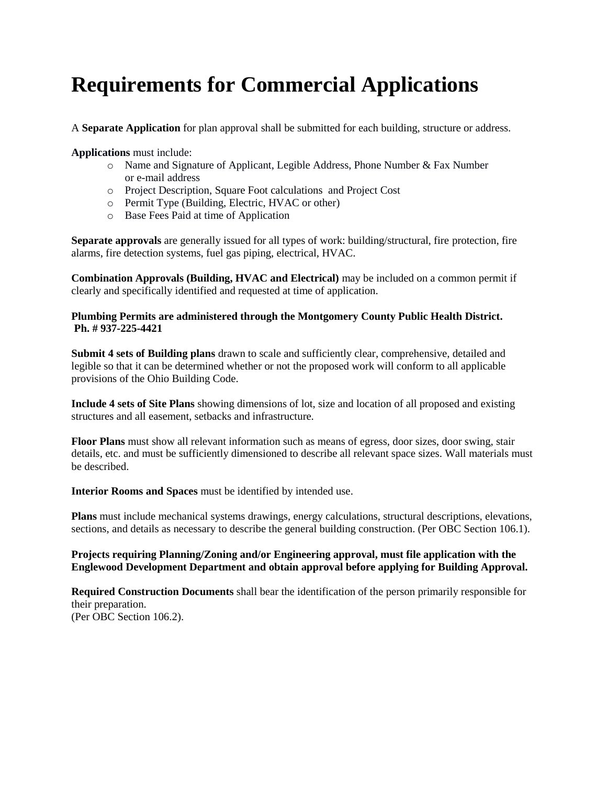# **Requirements for Commercial Applications**

A **Separate Application** for plan approval shall be submitted for each building, structure or address.

**Applications** must include:

- o Name and Signature of Applicant, Legible Address, Phone Number & Fax Number or e-mail address
- o Project Description, Square Foot calculations and Project Cost
- o Permit Type (Building, Electric, HVAC or other)
- o Base Fees Paid at time of Application

**Separate approvals** are generally issued for all types of work: building/structural, fire protection, fire alarms, fire detection systems, fuel gas piping, electrical, HVAC.

**Combination Approvals (Building, HVAC and Electrical)** may be included on a common permit if clearly and specifically identified and requested at time of application.

#### **Plumbing Permits are administered through the Montgomery County Public Health District. Ph. # 937-225-4421**

**Submit 4 sets of Building plans** drawn to scale and sufficiently clear, comprehensive, detailed and legible so that it can be determined whether or not the proposed work will conform to all applicable provisions of the Ohio Building Code.

**Include 4 sets of Site Plans** showing dimensions of lot, size and location of all proposed and existing structures and all easement, setbacks and infrastructure.

**Floor Plans** must show all relevant information such as means of egress, door sizes, door swing, stair details, etc. and must be sufficiently dimensioned to describe all relevant space sizes. Wall materials must be described.

**Interior Rooms and Spaces** must be identified by intended use.

**Plans** must include mechanical systems drawings, energy calculations, structural descriptions, elevations, sections, and details as necessary to describe the general building construction. (Per OBC Section 106.1).

#### **Projects requiring Planning/Zoning and/or Engineering approval, must file application with the Englewood Development Department and obtain approval before applying for Building Approval.**

**Required Construction Documents** shall bear the identification of the person primarily responsible for their preparation. (Per OBC Section 106.2).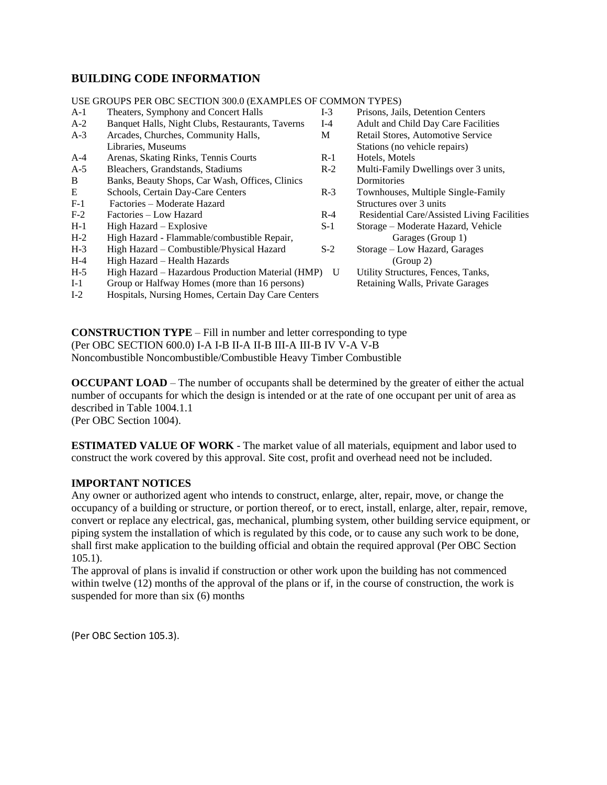## **BUILDING CODE INFORMATION**

#### A-1 Theaters, Symphony and Concert Halls I-3 Prisons, Jails, Detention Centers A-2 Banquet Halls, Night Clubs, Restaurants, Taverns I-4 Adult and Child Day Care Facilities A-3 Arcades, Churches, Community Halls, M Retail Stores, Automotive Service Libraries, Museums Stations (no vehicle repairs) A-4 Arenas, Skating Rinks, Tennis Courts R-1 Hotels, Motels A-5 Bleachers, Grandstands, Stadiums R-2 Multi-Family Dwellings over 3 units, B Banks, Beauty Shops, Car Wash, Offices, Clinics Dormitories E Schools, Certain Day-Care Centers R-3 Townhouses, Multiple Single-Family<br>F-1 Factories – Moderate Hazard Structures over 3 units Factories – Moderate Hazard Structures over 3 units F-2 Factories – Low Hazard R-4 Residential Care/Assisted Living Facilities H-1 High Hazard – Explosive S-1 Storage – Moderate Hazard, Vehicle H-2 High Hazard - Flammable/combustible Repair, Garages (Group 1) H-3 High Hazard – Combustible/Physical Hazard S-2 Storage – Low Hazard, Garages H-4 High Hazard – Health Hazards (Group 2) H-5 High Hazard – Hazardous Production Material (HMP) U Utility Structures, Fences, Tanks, I-1 Group or Halfway Homes (more than 16 persons) Retaining Walls, Private Garages I-2 Hospitals, Nursing Homes, Certain Day Care Centers

USE GROUPS PER OBC SECTION 300.0 (EXAMPLES OF COMMON TYPES)

**CONSTRUCTION TYPE** – Fill in number and letter corresponding to type (Per OBC SECTION 600.0) I-A I-B II-A II-B III-A III-B IV V-A V-B Noncombustible Noncombustible/Combustible Heavy Timber Combustible

**OCCUPANT LOAD** – The number of occupants shall be determined by the greater of either the actual number of occupants for which the design is intended or at the rate of one occupant per unit of area as described in Table 1004.1.1

(Per OBC Section 1004).

**ESTIMATED VALUE OF WORK** - The market value of all materials, equipment and labor used to construct the work covered by this approval. Site cost, profit and overhead need not be included.

#### **IMPORTANT NOTICES**

Any owner or authorized agent who intends to construct, enlarge, alter, repair, move, or change the occupancy of a building or structure, or portion thereof, or to erect, install, enlarge, alter, repair, remove, convert or replace any electrical, gas, mechanical, plumbing system, other building service equipment, or piping system the installation of which is regulated by this code, or to cause any such work to be done, shall first make application to the building official and obtain the required approval (Per OBC Section 105.1).

The approval of plans is invalid if construction or other work upon the building has not commenced within twelve (12) months of the approval of the plans or if, in the course of construction, the work is suspended for more than six (6) months

(Per OBC Section 105.3).